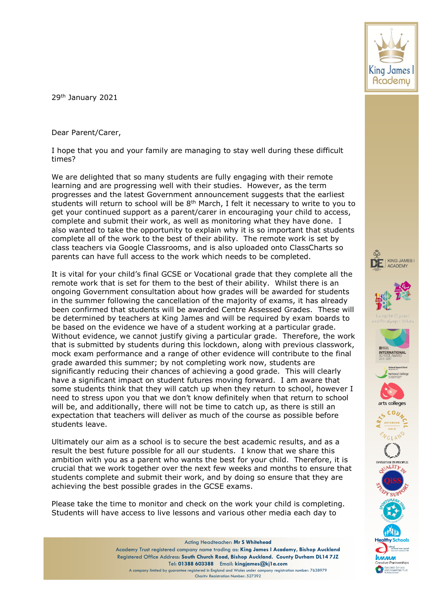29th January 2021

Dear Parent/Carer,

I hope that you and your family are managing to stay well during these difficult times?

We are delighted that so many students are fully engaging with their remote learning and are progressing well with their studies. However, as the term progresses and the latest Government announcement suggests that the earliest students will return to school will be  $8<sup>th</sup>$  March, I felt it necessary to write to you to get your continued support as a parent/carer in encouraging your child to access, complete and submit their work, as well as monitoring what they have done. I also wanted to take the opportunity to explain why it is so important that students complete all of the work to the best of their ability. The remote work is set by class teachers via Google Classrooms, and is also uploaded onto ClassCharts so parents can have full access to the work which needs to be completed.

It is vital for your child's final GCSE or Vocational grade that they complete all the remote work that is set for them to the best of their ability. Whilst there is an ongoing Government consultation about how grades will be awarded for students in the summer following the cancellation of the majority of exams, it has already been confirmed that students will be awarded Centre Assessed Grades. These will be determined by teachers at King James and will be required by exam boards to be based on the evidence we have of a student working at a particular grade. Without evidence, we cannot justify giving a particular grade. Therefore, the work that is submitted by students during this lockdown, along with previous classwork, mock exam performance and a range of other evidence will contribute to the final grade awarded this summer; by not completing work now, students are significantly reducing their chances of achieving a good grade. This will clearly have a significant impact on student futures moving forward. I am aware that some students think that they will catch up when they return to school, however I need to stress upon you that we don't know definitely when that return to school will be, and additionally, there will not be time to catch up, as there is still an expectation that teachers will deliver as much of the course as possible before students leave.

Ultimately our aim as a school is to secure the best academic results, and as a result the best future possible for all our students. I know that we share this ambition with you as a parent who wants the best for your child. Therefore, it is crucial that we work together over the next few weeks and months to ensure that students complete and submit their work, and by doing so ensure that they are achieving the best possible grades in the GCSE exams.

Please take the time to monitor and check on the work your child is completing. Students will have access to live lessons and various other media each day to







KING JAMES

ACADEMY

DE